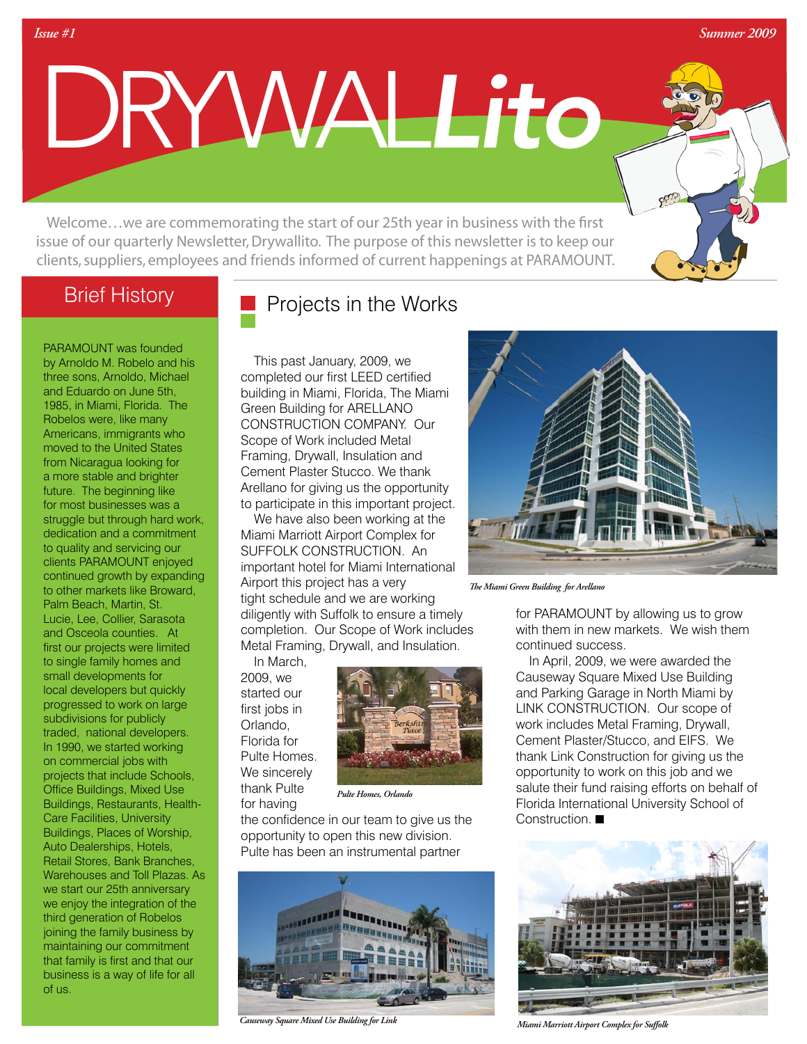*Summer 2009*

DRYWAL*Lito*

Welcome…we are commemorating the start of our 25th year in business with the first issue of our quarterly Newsletter, Drywallito. The purpose of this newsletter is to keep our clients, suppliers, employees and friends informed of current happenings at PARAMOUNT.

### Brief History

*Issue #1* 

PARAMOUNT was founded by Arnoldo M. Robelo and his three sons, Arnoldo, Michael and Eduardo on June 5th, 1985, in Miami, Florida. The Robelos were, like many Americans, immigrants who moved to the United States from Nicaragua looking for a more stable and brighter future. The beginning like for most businesses was a struggle but through hard work, dedication and a commitment to quality and servicing our clients PARAMOUNT enjoyed continued growth by expanding to other markets like Broward, Palm Beach, Martin, St. Lucie, Lee, Collier, Sarasota and Osceola counties. At first our projects were limited to single family homes and small developments for local developers but quickly progressed to work on large subdivisions for publicly traded, national developers. In 1990, we started working on commercial jobs with projects that include Schools, Office Buildings, Mixed Use Buildings, Restaurants, Health-Care Facilities, University Buildings, Places of Worship, Auto Dealerships, Hotels, Retail Stores, Bank Branches, Warehouses and Toll Plazas. As we start our 25th anniversary we enjoy the integration of the third generation of Robelos joining the family business by maintaining our commitment that family is first and that our business is a way of life for all of us.

# Projects in the Works

This past January, 2009, we completed our first LEED certified building in Miami, Florida, The Miami Green Building for ARELLANO CONSTRUCTION COMPANY. Our Scope of Work included Metal Framing, Drywall, Insulation and Cement Plaster Stucco. We thank Arellano for giving us the opportunity to participate in this important project.

We have also been working at the Miami Marriott Airport Complex for SUFFOLK CONSTRUCTION. An important hotel for Miami International Airport this project has a very tight schedule and we are working diligently with Suffolk to ensure a timely completion. Our Scope of Work includes Metal Framing, Drywall, and Insulation.

In March, 2009, we started our first jobs in Orlando, Florida for Pulte Homes. We sincerely thank Pulte for having



*Pulte Homes, Orlando*

the confidence in our team to give us the opportunity to open this new division. Pulte has been an instrumental partner



*Causeway Square Mixed Use Building for Link Miami Marriott Airport Complex for Suffolk*



*The Miami Green Building for Arellano*

for PARAMOUNT by allowing us to grow with them in new markets. We wish them continued success.

In April, 2009, we were awarded the Causeway Square Mixed Use Building and Parking Garage in North Miami by LINK CONSTRUCTION. Our scope of work includes Metal Framing, Drywall, Cement Plaster/Stucco, and EIFS. We thank Link Construction for giving us the opportunity to work on this job and we salute their fund raising efforts on behalf of Florida International University School of Construction.  $\blacksquare$ 

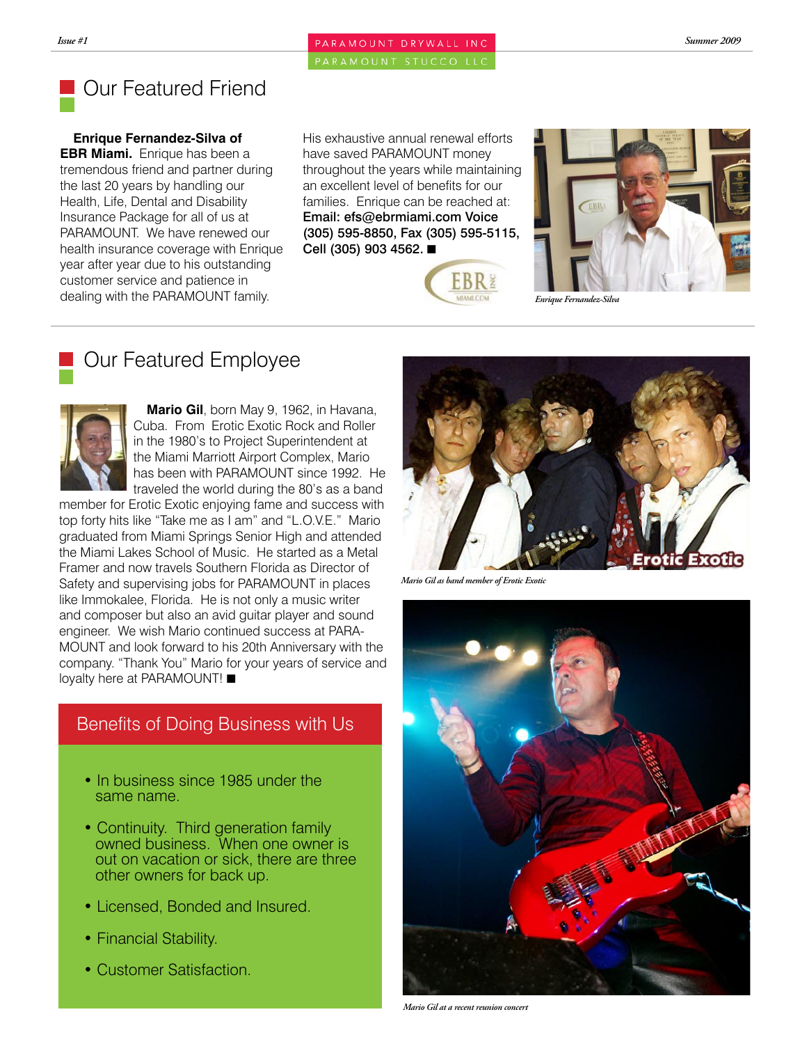*Issue #1 Summer 2009*

PARAMOUNT STUCCO LLC

# Our Featured Friend

**Enrique Fernandez-Silva of EBR Miami.** Enrique has been a tremendous friend and partner during the last 20 years by handling our Health, Life, Dental and Disability Insurance Package for all of us at PARAMOUNT. We have renewed our health insurance coverage with Enrique year after year due to his outstanding customer service and patience in dealing with the PARAMOUNT family.

His exhaustive annual renewal efforts have saved PARAMOUNT money throughout the years while maintaining an excellent level of benefits for our families. Enrique can be reached at: Email: efs@ebrmiami.com Voice (305) 595-8850, Fax (305) 595-5115, Cell (305) 903 4562. **■** 





*Enrique Fernandez-Silva*

# Our Featured Employee



**Mario Gil**, born May 9, 1962, in Havana, Cuba. From Erotic Exotic Rock and Roller in the 1980's to Project Superintendent at the Miami Marriott Airport Complex, Mario has been with PARAMOUNT since 1992. He traveled the world during the 80's as a band

member for Erotic Exotic enjoying fame and success with top forty hits like "Take me as I am" and "L.O.V.E." Mario graduated from Miami Springs Senior High and attended the Miami Lakes School of Music. He started as a Metal Framer and now travels Southern Florida as Director of Safety and supervising jobs for PARAMOUNT in places like Immokalee, Florida. He is not only a music writer and composer but also an avid guitar player and sound engineer. We wish Mario continued success at PARA-MOUNT and look forward to his 20th Anniversary with the company. "Thank You" Mario for your years of service and loyalty here at PARAMOUNT!

### Benefits of Doing Business with Us

- In business since 1985 under the same name.
- Continuity. Third generation family owned business. When one owner is out on vacation or sick, there are three other owners for back up.
- Licensed, Bonded and Insured.
- Financial Stability.
- Customer Satisfaction.



*Mario Gil as band member of Erotic Exotic*



*Mario Gil at a recent reunion concert*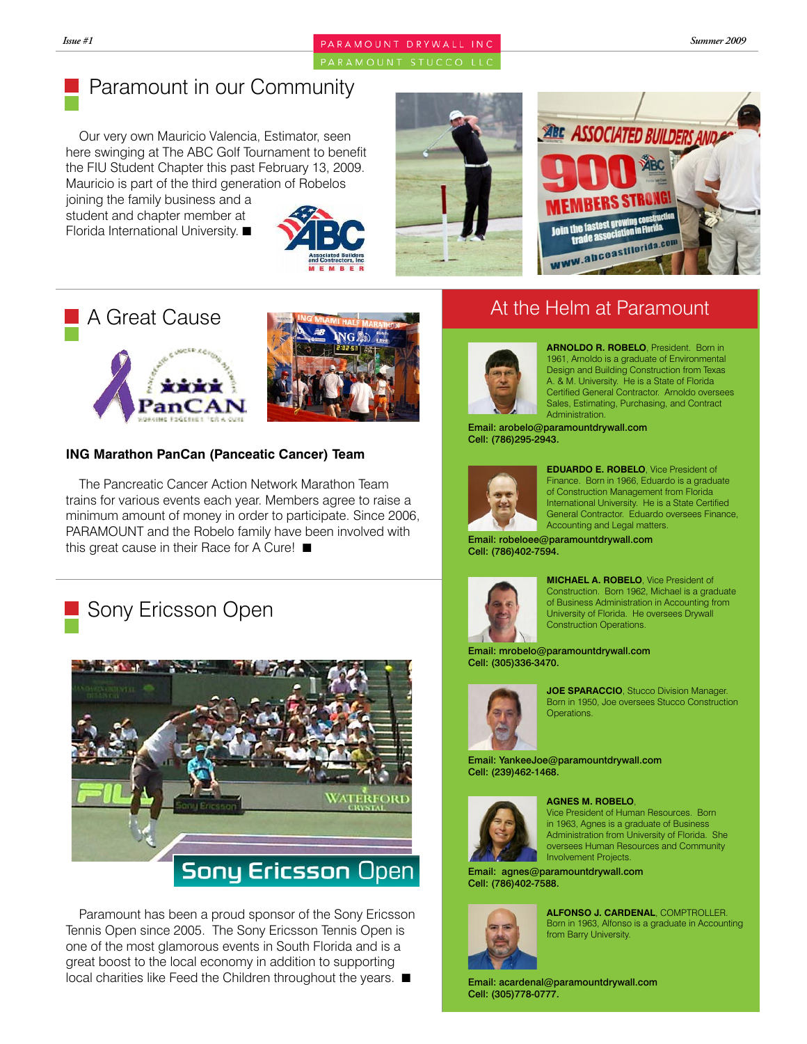#### *Issue #1 Summer 2009*

PARAMOUNT STUCCO LLC

# Paramount in our Community

Our very own Mauricio Valencia, Estimator, seen here swinging at The ABC Golf Tournament to benefit the FIU Student Chapter this past February 13, 2009. Mauricio is part of the third generation of Robelos

joining the family business and a student and chapter member at Florida International University.











#### **ING Marathon PanCan (Panceatic Cancer) Team**

The Pancreatic Cancer Action Network Marathon Team trains for various events each year. Members agree to raise a minimum amount of money in order to participate. Since 2006, PARAMOUNT and the Robelo family have been involved with this great cause in their Race for A Cure!  $\blacksquare$ 

# Sony Ericsson Open



Paramount has been a proud sponsor of the Sony Ericsson Tennis Open since 2005. The Sony Ericsson Tennis Open is one of the most glamorous events in South Florida and is a great boost to the local economy in addition to supporting  $\lvert$  local charities like Feed the Children throughout the years.  $\blacksquare$  Email: acardenal@paramountdrywall.com

### At the Helm at Paramount



**ARNOLDO R. ROBELO**, President. Born in 1961, Arnoldo is a graduate of Environmental Design and Building Construction from Texas A. & M. University. He is a State of Florida Certified General Contractor. Arnoldo oversees Sales, Estimating, Purchasing, and Contract Administration.

Email: arobelo@paramountdrywall.com Cell: (786)295-2943.



**EDUARDO E. ROBELO**, Vice President of Finance. Born in 1966, Eduardo is a graduate of Construction Management from Florida International University. He is a State Certified General Contractor. Eduardo oversees Finance, Accounting and Legal matters.

Email: robeloee@paramountdrywall.com Cell: (786)402-7594.



**MICHAEL A. ROBELO**, Vice President of Construction. Born 1962, Michael is a graduate of Business Administration in Accounting from University of Florida. He oversees Drywall Construction Operations.

Email: mrobelo@paramountdrywall.com Cell: (305)336-3470.



**JOE SPARACCIO**, Stucco Division Manager. Born in 1950, Joe oversees Stucco Construction Operations.

Email: YankeeJoe@paramountdrywall.com Cell: (239)462-1468.



#### **AGNES M. ROBELO**,

Vice President of Human Resources. Born in 1963, Agnes is a graduate of Business Administration from University of Florida. She oversees Human Resources and Community Involvement Projects.

Email: agnes@paramountdrywall.com Cell: (786)402-7588.



**ALFONSO J. CARDENAL**, COMPTROLLER. Born in 1963, Alfonso is a graduate in Accounting from Barry University.

Cell: (305)778-0777.